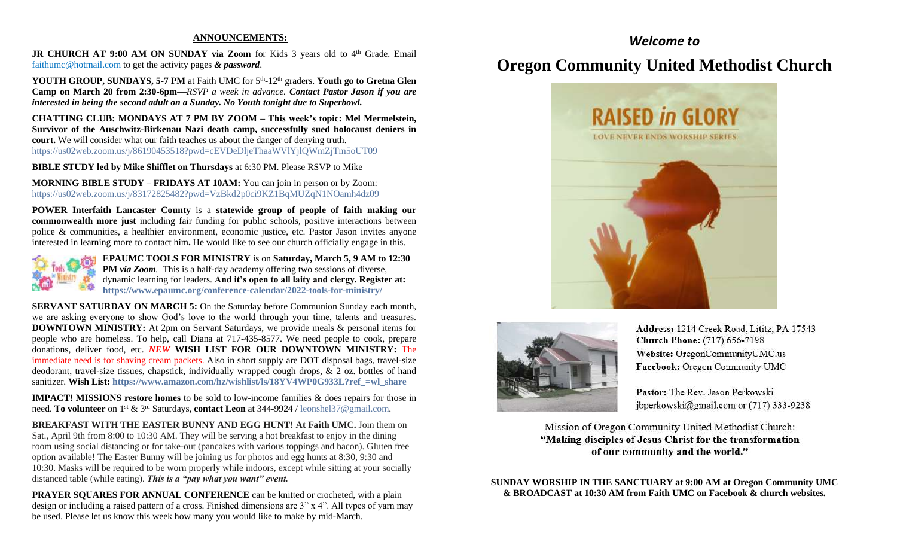#### **ANNOUNCEMENTS:**

JR CHURCH AT 9:00 AM ON SUNDAY via Zoom for Kids 3 years old to 4<sup>th</sup> Grade. Email [faithumc@hotmail.com](about:blank) to get the activity pages *& password*.

YOUTH GROUP, SUNDAYS, 5-7 PM at Faith UMC for 5<sup>th</sup>-12<sup>th</sup> graders. Youth go to Gretna Glen **Camp on March 20 from 2:30-6pm—***RSVP a week in advance. Contact Pastor Jason if you are interested in being the second adult on a Sunday. No Youth tonight due to Superbowl.*

**CHATTING CLUB: MONDAYS AT 7 PM BY ZOOM – This week's topic: Mel Mermelstein, Survivor of the Auschwitz-Birkenau Nazi death camp, successfully sued holocaust deniers in court.** We will consider what our faith teaches us about the danger of denying truth. https://us02web.zoom.us/j/86190453518?pwd=cEVDeDljeThaaWVlYjlQWmZjTm5oUT09

**BIBLE STUDY led by Mike Shifflet on Thursdays** at 6:30 PM. Please RSVP to Mike

**MORNING BIBLE STUDY – FRIDAYS AT 10AM:** You can join in person or by Zoom: <https://us02web.zoom.us/j/83172825482?pwd=VzBkd2p0ci9KZ1BqMUZqN1NOamh4dz09>

**POWER Interfaith Lancaster County** is a **statewide group of people of faith making our commonwealth more just** including fair funding for public schools, positive interactions between police & communities, a healthier environment, economic justice, etc. Pastor Jason invites anyone interested in learning more to contact him**.** He would like to see our church officially engage in this.



**EPAUMC TOOLS FOR MINISTRY** is on **Saturday, March 5, 9 AM to 12:30 PM** *via Zoom.* This is a half-day academy offering two sessions of diverse, dynamic learning for leaders. **And it's open to all laity and clergy. Register at: <https://www.epaumc.org/conference-calendar/2022-tools-for-ministry/>**

**SERVANT SATURDAY ON MARCH 5:** On the Saturday before Communion Sunday each month, we are asking everyone to show God's love to the world through your time, talents and treasures. **DOWNTOWN MINISTRY:** At 2pm on Servant Saturdays, we provide meals & personal items for people who are homeless. To help, call Diana at 717-435-8577. We need people to cook, prepare donations, deliver food, etc. *NEW* **WISH LIST FOR OUR DOWNTOWN MINISTRY:** The immediate need is for shaving cream packets. Also in short supply are DOT disposal bags, travel-size deodorant, travel-size tissues, chapstick, individually wrapped cough drops, & 2 oz. bottles of hand sanitizer. **Wish List: [https://www.amazon.com/hz/wishlist/ls/18YV4WP0G933L?ref\\_=wl\\_share](https://www.amazon.com/hz/wishlist/ls/18YV4WP0G933L?ref_=wl_share)**

**IMPACT! MISSIONS restore homes** to be sold to low-income families & does repairs for those in need. **To volunteer** on 1st & 3rd Saturdays, **contact Leon** at 344-9924 / [leonshel37@gmail.com.](about:blank)

**BREAKFAST WITH THE EASTER BUNNY AND EGG HUNT! At Faith UMC.** Join them on Sat., April 9th from 8:00 to 10:30 AM. They will be serving a hot breakfast to enjoy in the dining room using social distancing or for take-out (pancakes with various toppings and bacon). Gluten free option available! The Easter Bunny will be joining us for photos and egg hunts at 8:30, 9:30 and 10:30. Masks will be required to be worn properly while indoors, except while sitting at your socially distanced table (while eating). *This is a "pay what you want" event.*

**PRAYER SQUARES FOR ANNUAL CONFERENCE** can be knitted or crocheted, with a plain design or including a raised pattern of a cross. Finished dimensions are 3" x 4". All types of yarn may be used. Please let us know this week how many you would like to make by mid-March.

## *Welcome to*

# **Oregon Community United Methodist Church**





Address: 1214 Creek Road, Lititz, PA 17543 **Church Phone:** (717) 656-7198 Website: OregonCommunityUMC.us Facebook: Oregon Community UMC

Pastor: The Rev. Jason Perkowski jbperkowski@gmail.com or (717) 333-9238

Mission of Oregon Community United Methodist Church: "Making disciples of Jesus Christ for the transformation of our community and the world."

**SUNDAY WORSHIP IN THE SANCTUARY at 9:00 AM at Oregon Community UMC & BROADCAST at 10:30 AM from Faith UMC on Facebook & church websites.**